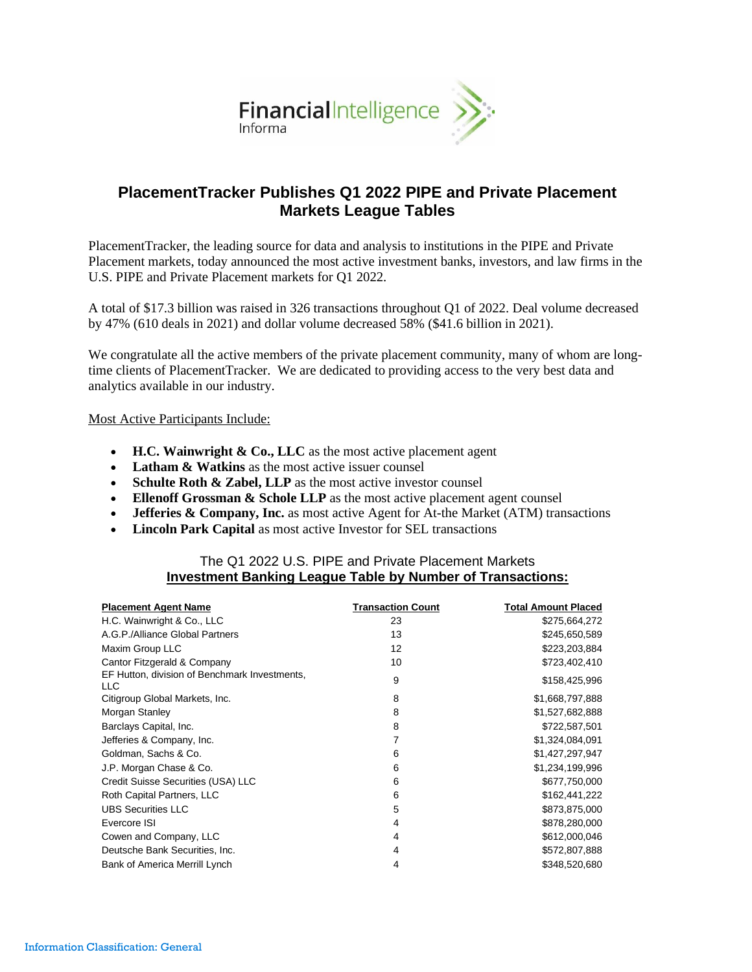

# **PlacementTracker Publishes Q1 2022 PIPE and Private Placement Markets League Tables**

PlacementTracker, the leading source for data and analysis to institutions in the PIPE and Private Placement markets, today announced the most active investment banks, investors, and law firms in the U.S. PIPE and Private Placement markets for Q1 2022.

A total of \$17.3 billion was raised in 326 transactions throughout Q1 of 2022. Deal volume decreased by 47% (610 deals in 2021) and dollar volume decreased 58% (\$41.6 billion in 2021).

We congratulate all the active members of the private placement community, many of whom are longtime clients of PlacementTracker. We are dedicated to providing access to the very best data and analytics available in our industry.

Most Active Participants Include:

- **H.C. Wainwright & Co., LLC** as the most active placement agent
- **Latham & Watkins** as the most active issuer counsel
- **Schulte Roth & Zabel, LLP** as the most active investor counsel
- **Ellenoff Grossman & Schole LLP** as the most active placement agent counsel
- **Jefferies & Company, Inc.** as most active Agent for At-the Market (ATM) transactions
- **Lincoln Park Capital** as most active Investor for SEL transactions

# The Q1 2022 U.S. PIPE and Private Placement Markets **Investment Banking League Table by Number of Transactions:**

| <b>Placement Agent Name</b>                           | <b>Transaction Count</b> | <b>Total Amount Placed</b> |
|-------------------------------------------------------|--------------------------|----------------------------|
| H.C. Wainwright & Co., LLC                            | 23                       | \$275,664,272              |
| A.G.P./Alliance Global Partners                       | 13                       | \$245,650,589              |
| Maxim Group LLC                                       | 12                       | \$223,203,884              |
| Cantor Fitzgerald & Company                           | 10                       | \$723,402,410              |
| EF Hutton, division of Benchmark Investments,<br>LLC. | 9                        | \$158,425,996              |
| Citigroup Global Markets, Inc.                        | 8                        | \$1,668,797,888            |
| Morgan Stanley                                        | 8                        | \$1,527,682,888            |
| Barclays Capital, Inc.                                | 8                        | \$722,587,501              |
| Jefferies & Company, Inc.                             |                          | \$1,324,084,091            |
| Goldman, Sachs & Co.                                  | 6                        | \$1,427,297,947            |
| J.P. Morgan Chase & Co.                               | 6                        | \$1,234,199,996            |
| Credit Suisse Securities (USA) LLC                    | 6                        | \$677,750,000              |
| Roth Capital Partners, LLC                            | 6                        | \$162,441,222              |
| <b>UBS Securities LLC</b>                             | 5                        | \$873,875,000              |
| Evercore ISI                                          | 4                        | \$878,280,000              |
| Cowen and Company, LLC                                | 4                        | \$612,000,046              |
| Deutsche Bank Securities, Inc.                        | 4                        | \$572,807,888              |
| Bank of America Merrill Lynch                         | 4                        | \$348,520,680              |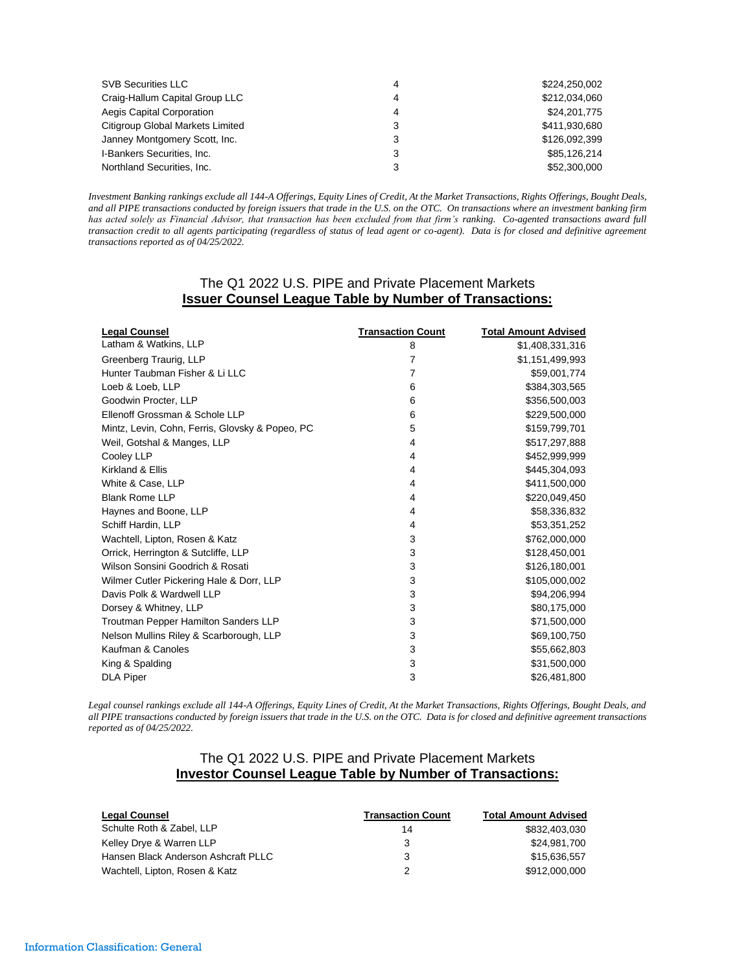| <b>SVB Securities LLC</b>        | 4 | \$224,250,002 |
|----------------------------------|---|---------------|
| Craig-Hallum Capital Group LLC   | Δ | \$212,034,060 |
| Aegis Capital Corporation        | 4 | \$24,201,775  |
| Citigroup Global Markets Limited |   | \$411,930,680 |
| Janney Montgomery Scott, Inc.    | 3 | \$126,092,399 |
| I-Bankers Securities, Inc.       | 3 | \$85.126.214  |
| Northland Securities, Inc.       |   | \$52,300,000  |

*Investment Banking rankings exclude all 144-A Offerings, Equity Lines of Credit, At the Market Transactions, Rights Offerings, Bought Deals, and all PIPE transactions conducted by foreign issuers that trade in the U.S. on the OTC. On transactions where an investment banking firm has acted solely as Financial Advisor, that transaction has been excluded from that firm's ranking. Co-agented transactions award full transaction credit to all agents participating (regardless of status of lead agent or co-agent). Data is for closed and definitive agreement transactions reported as of 04/25/2022.*

# The Q1 2022 U.S. PIPE and Private Placement Markets **Issuer Counsel League Table by Number of Transactions:**

| <b>Legal Counsel</b>                            | <b>Transaction Count</b> | <b>Total Amount Advised</b> |
|-------------------------------------------------|--------------------------|-----------------------------|
| Latham & Watkins, LLP                           | 8                        | \$1,408,331,316             |
| Greenberg Traurig, LLP                          | 7                        | \$1,151,499,993             |
| Hunter Taubman Fisher & Li LLC                  | 7                        | \$59,001,774                |
| Loeb & Loeb, LLP                                | 6                        | \$384,303,565               |
| Goodwin Procter, LLP                            | 6                        | \$356,500,003               |
| Ellenoff Grossman & Schole LLP                  | 6                        | \$229,500,000               |
| Mintz, Levin, Cohn, Ferris, Glovsky & Popeo, PC | 5                        | \$159,799,701               |
| Weil, Gotshal & Manges, LLP                     | 4                        | \$517,297,888               |
| Cooley LLP                                      | 4                        | \$452,999,999               |
| Kirkland & Ellis                                | 4                        | \$445,304,093               |
| White & Case, LLP                               | 4                        | \$411,500,000               |
| <b>Blank Rome LLP</b>                           | 4                        | \$220,049,450               |
| Haynes and Boone, LLP                           | 4                        | \$58,336,832                |
| Schiff Hardin, LLP                              | 4                        | \$53,351,252                |
| Wachtell, Lipton, Rosen & Katz                  | 3                        | \$762,000,000               |
| Orrick, Herrington & Sutcliffe, LLP             | 3                        | \$128,450,001               |
| Wilson Sonsini Goodrich & Rosati                | 3                        | \$126,180,001               |
| Wilmer Cutler Pickering Hale & Dorr, LLP        | 3                        | \$105,000,002               |
| Davis Polk & Wardwell LLP                       | 3                        | \$94,206,994                |
| Dorsey & Whitney, LLP                           | 3                        | \$80,175,000                |
| <b>Troutman Pepper Hamilton Sanders LLP</b>     | 3                        | \$71,500,000                |
| Nelson Mullins Riley & Scarborough, LLP         | 3                        | \$69,100,750                |
| Kaufman & Canoles                               | 3                        | \$55,662,803                |
| King & Spalding                                 | 3                        | \$31,500,000                |
| <b>DLA Piper</b>                                | 3                        | \$26,481,800                |

*Legal counsel rankings exclude all 144-A Offerings, Equity Lines of Credit, At the Market Transactions, Rights Offerings, Bought Deals, and all PIPE transactions conducted by foreign issuers that trade in the U.S. on the OTC. Data is for closed and definitive agreement transactions reported as of 04/25/2022.*

# The Q1 2022 U.S. PIPE and Private Placement Markets **Investor Counsel League Table by Number of Transactions:**

| <b>Legal Counsel</b>                | <b>Transaction Count</b> | <b>Total Amount Advised</b> |
|-------------------------------------|--------------------------|-----------------------------|
| Schulte Roth & Zabel, LLP           | 14                       | \$832,403,030               |
| Kelley Drye & Warren LLP            | ર                        | \$24.981.700                |
| Hansen Black Anderson Ashcraft PLLC |                          | \$15.636.557                |
| Wachtell, Lipton, Rosen & Katz      |                          | \$912,000,000               |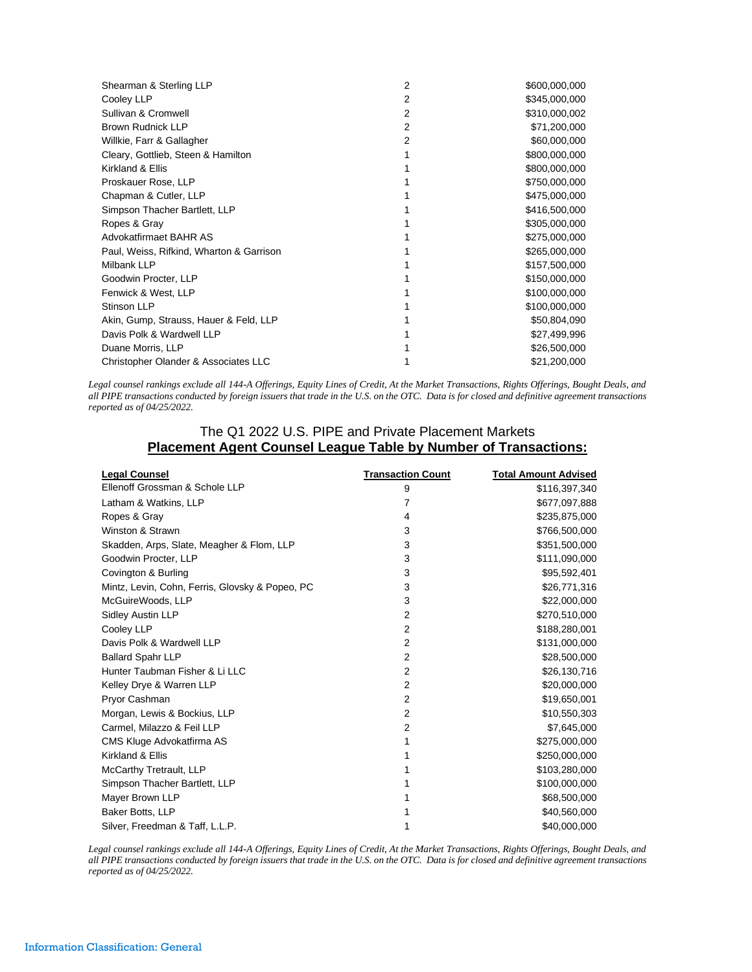| Shearman & Sterling LLP                  | $\overline{2}$ | \$600,000,000 |
|------------------------------------------|----------------|---------------|
| Cooley LLP                               | 2              | \$345,000,000 |
| Sullivan & Cromwell                      | 2              | \$310,000,002 |
| <b>Brown Rudnick LLP</b>                 | 2              | \$71,200,000  |
| Willkie, Farr & Gallagher                | 2              | \$60,000,000  |
| Cleary, Gottlieb, Steen & Hamilton       |                | \$800,000,000 |
| Kirkland & Ellis                         |                | \$800,000,000 |
| Proskauer Rose, LLP                      |                | \$750,000,000 |
| Chapman & Cutler, LLP                    |                | \$475,000,000 |
| Simpson Thacher Bartlett, LLP            |                | \$416,500,000 |
| Ropes & Gray                             |                | \$305,000,000 |
| Advokatfirmaet BAHR AS                   |                | \$275,000,000 |
| Paul, Weiss, Rifkind, Wharton & Garrison |                | \$265,000,000 |
| Milbank LLP                              |                | \$157,500,000 |
| Goodwin Procter, LLP                     |                | \$150,000,000 |
| Fenwick & West, LLP                      |                | \$100,000,000 |
| Stinson LLP                              |                | \$100,000,000 |
| Akin, Gump, Strauss, Hauer & Feld, LLP   |                | \$50,804,090  |
| Davis Polk & Wardwell LLP                |                | \$27,499,996  |
| Duane Morris, LLP                        |                | \$26,500,000  |
| Christopher Olander & Associates LLC     |                | \$21,200,000  |

*Legal counsel rankings exclude all 144-A Offerings, Equity Lines of Credit, At the Market Transactions, Rights Offerings, Bought Deals, and all PIPE transactions conducted by foreign issuers that trade in the U.S. on the OTC. Data is for closed and definitive agreement transactions reported as of 04/25/2022.*

#### The Q1 2022 U.S. PIPE and Private Placement Markets **Placement Agent Counsel League Table by Number of Transactions:**

| <b>Legal Counsel</b>                            | <b>Transaction Count</b> | <b>Total Amount Advised</b> |
|-------------------------------------------------|--------------------------|-----------------------------|
| Ellenoff Grossman & Schole LLP                  | 9                        | \$116,397,340               |
| Latham & Watkins, LLP                           | 7                        | \$677,097,888               |
| Ropes & Gray                                    | 4                        | \$235,875,000               |
| Winston & Strawn                                | 3                        | \$766,500,000               |
| Skadden, Arps, Slate, Meagher & Flom, LLP       | 3                        | \$351,500,000               |
| Goodwin Procter, LLP                            | 3                        | \$111,090,000               |
| Covington & Burling                             | 3                        | \$95,592,401                |
| Mintz, Levin, Cohn, Ferris, Glovsky & Popeo, PC | 3                        | \$26,771,316                |
| McGuireWoods, LLP                               | 3                        | \$22,000,000                |
| <b>Sidley Austin LLP</b>                        | 2                        | \$270,510,000               |
| Cooley LLP                                      | $\overline{2}$           | \$188,280,001               |
| Davis Polk & Wardwell LLP                       | 2                        | \$131,000,000               |
| <b>Ballard Spahr LLP</b>                        | $\overline{2}$           | \$28,500,000                |
| Hunter Taubman Fisher & Li LLC                  | $\overline{2}$           | \$26,130,716                |
| Kelley Drye & Warren LLP                        | $\overline{2}$           | \$20,000,000                |
| Pryor Cashman                                   | $\overline{2}$           | \$19,650,001                |
| Morgan, Lewis & Bockius, LLP                    | $\overline{2}$           | \$10,550,303                |
| Carmel, Milazzo & Feil LLP                      | $\overline{2}$           | \$7,645,000                 |
| CMS Kluge Advokatfirma AS                       | 1                        | \$275,000,000               |
| Kirkland & Ellis                                | 1                        | \$250,000,000               |
| McCarthy Tretrault, LLP                         | 1                        | \$103,280,000               |
| Simpson Thacher Bartlett, LLP                   |                          | \$100,000,000               |
| Mayer Brown LLP                                 |                          | \$68,500,000                |
| Baker Botts, LLP                                |                          | \$40,560,000                |
| Silver, Freedman & Taff, L.L.P.                 |                          | \$40,000,000                |

*Legal counsel rankings exclude all 144-A Offerings, Equity Lines of Credit, At the Market Transactions, Rights Offerings, Bought Deals, and all PIPE transactions conducted by foreign issuers that trade in the U.S. on the OTC. Data is for closed and definitive agreement transactions reported as of 04/25/2022.*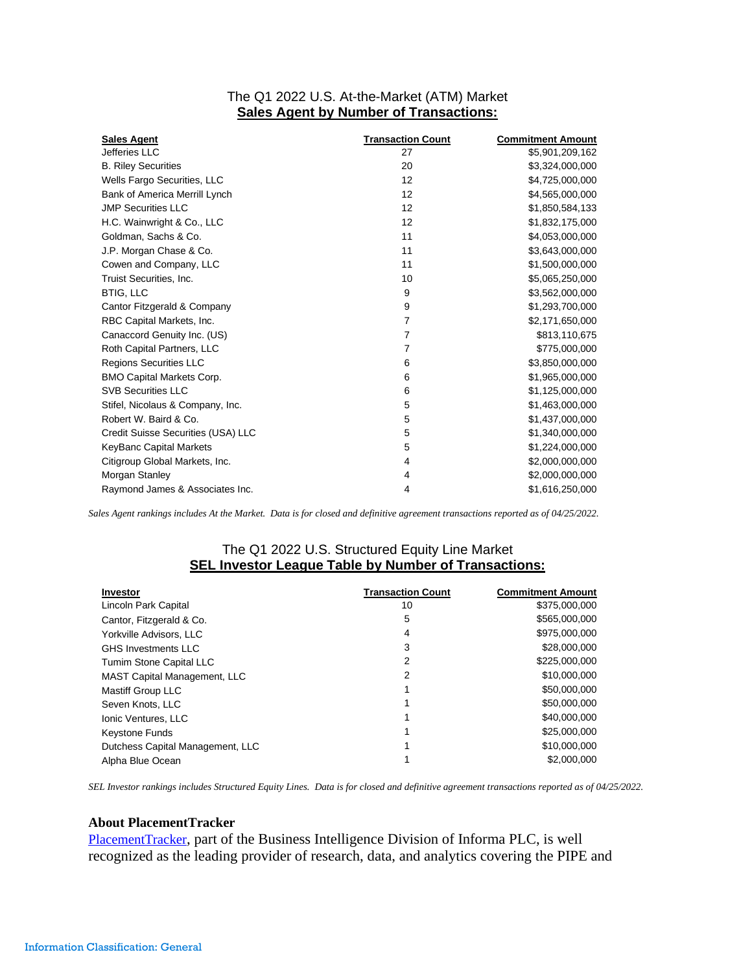# The Q1 2022 U.S. At-the-Market (ATM) Market **Sales Agent by Number of Transactions:**

| <b>Sales Agent</b>                 | <b>Transaction Count</b> | <b>Commitment Amount</b> |
|------------------------------------|--------------------------|--------------------------|
| Jefferies LLC                      | 27                       | \$5,901,209,162          |
| <b>B. Riley Securities</b>         | 20                       | \$3,324,000,000          |
| Wells Fargo Securities, LLC        | 12                       | \$4,725,000,000          |
| Bank of America Merrill Lynch      | 12                       | \$4,565,000,000          |
| <b>JMP Securities LLC</b>          | 12                       | \$1,850,584,133          |
| H.C. Wainwright & Co., LLC         | 12                       | \$1,832,175,000          |
| Goldman, Sachs & Co.               | 11                       | \$4,053,000,000          |
| J.P. Morgan Chase & Co.            | 11                       | \$3,643,000,000          |
| Cowen and Company, LLC             | 11                       | \$1,500,000,000          |
| Truist Securities, Inc.            | 10                       | \$5,065,250,000          |
| <b>BTIG, LLC</b>                   | 9                        | \$3,562,000,000          |
| Cantor Fitzgerald & Company        | 9                        | \$1,293,700,000          |
| RBC Capital Markets, Inc.          | 7                        | \$2,171,650,000          |
| Canaccord Genuity Inc. (US)        | 7                        | \$813,110,675            |
| Roth Capital Partners, LLC         | 7                        | \$775,000,000            |
| <b>Regions Securities LLC</b>      | 6                        | \$3,850,000,000          |
| <b>BMO Capital Markets Corp.</b>   | 6                        | \$1,965,000,000          |
| <b>SVB Securities LLC</b>          | 6                        | \$1,125,000,000          |
| Stifel, Nicolaus & Company, Inc.   | 5                        | \$1,463,000,000          |
| Robert W. Baird & Co.              | 5                        | \$1,437,000,000          |
| Credit Suisse Securities (USA) LLC | 5                        | \$1,340,000,000          |
| KeyBanc Capital Markets            | 5                        | \$1,224,000,000          |
| Citigroup Global Markets, Inc.     | 4                        | \$2,000,000,000          |
| Morgan Stanley                     | 4                        | \$2,000,000,000          |
| Raymond James & Associates Inc.    | 4                        | \$1,616,250,000          |

*Sales Agent rankings includes At the Market. Data is for closed and definitive agreement transactions reported as of 04/25/2022.*

# The Q1 2022 U.S. Structured Equity Line Market **SEL Investor League Table by Number of Transactions:**

| <b>Investor</b>                     | <b>Transaction Count</b> | <b>Commitment Amount</b> |
|-------------------------------------|--------------------------|--------------------------|
| Lincoln Park Capital                | 10                       | \$375,000,000            |
| Cantor, Fitzgerald & Co.            | 5                        | \$565,000,000            |
| Yorkville Advisors, LLC             | 4                        | \$975,000,000            |
| <b>GHS Investments LLC</b>          | 3                        | \$28,000,000             |
| <b>Tumim Stone Capital LLC</b>      | 2                        | \$225,000,000            |
| <b>MAST Capital Management, LLC</b> | 2                        | \$10,000,000             |
| Mastiff Group LLC                   |                          | \$50,000,000             |
| Seven Knots, LLC                    |                          | \$50,000,000             |
| Ionic Ventures, LLC                 |                          | \$40,000,000             |
| <b>Keystone Funds</b>               |                          | \$25,000,000             |
| Dutchess Capital Management, LLC    |                          | \$10,000,000             |
| Alpha Blue Ocean                    |                          | \$2,000,000              |

*SEL Investor rankings includes Structured Equity Lines. Data is for closed and definitive agreement transactions reported as of 04/25/2022.*

#### **About PlacementTracker**

[PlacementTracker](http://www.placementtracker.com/), part of the Business Intelligence Division of Informa PLC, is well recognized as the leading provider of research, data, and analytics covering the PIPE and